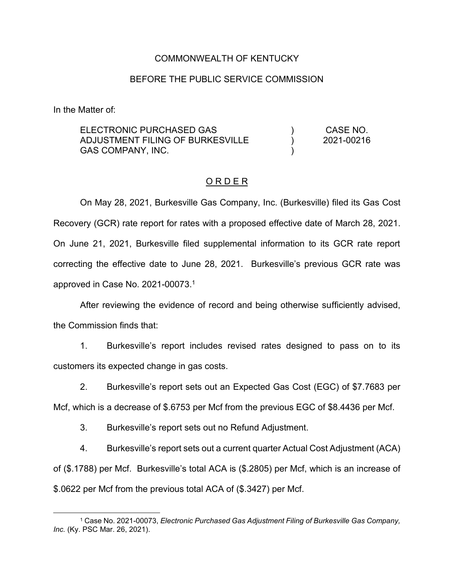### COMMONWEALTH OF KENTUCKY

### BEFORE THE PUBLIC SERVICE COMMISSION

In the Matter of:

ELECTRONIC PURCHASED GAS ADJUSTMENT FILING OF BURKESVILLE GAS COMPANY, INC.  $\lambda$ )  $\lambda$ CASE NO. 2021-00216

#### O R D E R

On May 28, 2021, Burkesville Gas Company, Inc. (Burkesville) filed its Gas Cost Recovery (GCR) rate report for rates with a proposed effective date of March 28, 2021. On June 21, 2021, Burkesville filed supplemental information to its GCR rate report correcting the effective date to June 28, 2021. Burkesville's previous GCR rate was approved in Case No. 2021-00073.<sup>1</sup>

After reviewing the evidence of record and being otherwise sufficiently advised, the Commission finds that:

1. Burkesville's report includes revised rates designed to pass on to its customers its expected change in gas costs.

2. Burkesville's report sets out an Expected Gas Cost (EGC) of \$7.7683 per

Mcf, which is a decrease of \$.6753 per Mcf from the previous EGC of \$8.4436 per Mcf.

3. Burkesville's report sets out no Refund Adjustment.

4. Burkesville's report sets out a current quarter Actual Cost Adjustment (ACA) of (\$.1788) per Mcf. Burkesville's total ACA is (\$.2805) per Mcf, which is an increase of \$.0622 per Mcf from the previous total ACA of (\$.3427) per Mcf.

<sup>1</sup> Case No. 2021-00073, *Electronic Purchased Gas Adjustment Filing of Burkesville Gas Company, Inc.* (Ky. PSC Mar. 26, 2021).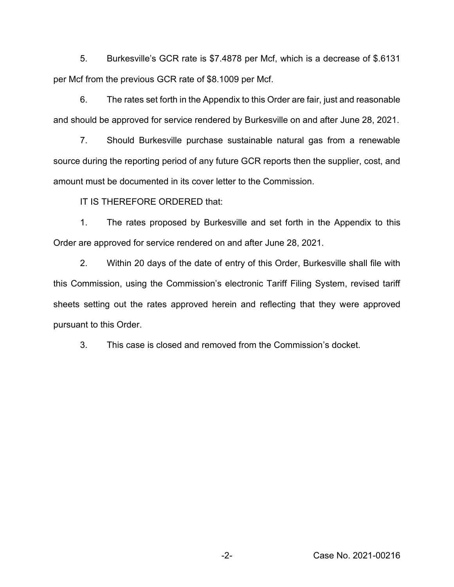5. Burkesville's GCR rate is \$7.4878 per Mcf, which is a decrease of \$.6131 per Mcf from the previous GCR rate of \$8.1009 per Mcf.

6. The rates set forth in the Appendix to this Order are fair, just and reasonable and should be approved for service rendered by Burkesville on and after June 28, 2021.

7. Should Burkesville purchase sustainable natural gas from a renewable source during the reporting period of any future GCR reports then the supplier, cost, and amount must be documented in its cover letter to the Commission.

IT IS THEREFORE ORDERED that:

1. The rates proposed by Burkesville and set forth in the Appendix to this Order are approved for service rendered on and after June 28, 2021.

2. Within 20 days of the date of entry of this Order, Burkesville shall file with this Commission, using the Commission's electronic Tariff Filing System, revised tariff sheets setting out the rates approved herein and reflecting that they were approved pursuant to this Order.

3. This case is closed and removed from the Commission's docket.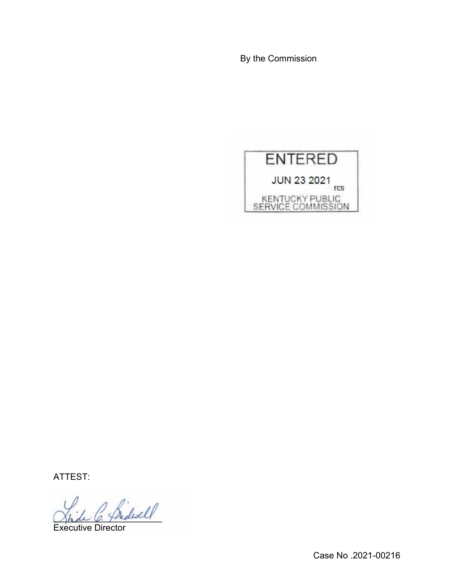By the Commission



ATTEST:

Indivell

Executive Director

Case No .2021-00216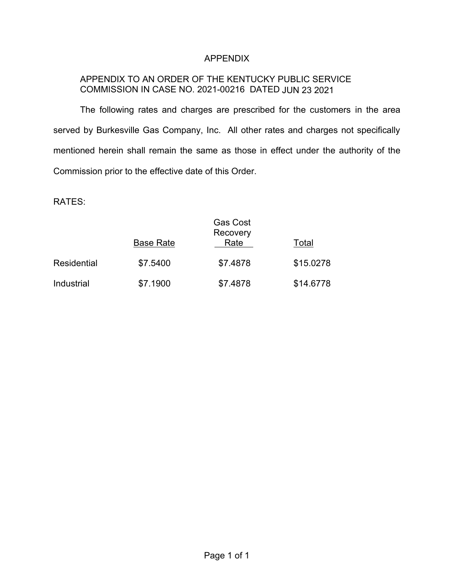## APPENDIX

# APPENDIX TO AN ORDER OF THE KENTUCKY PUBLIC SERVICE COMMISSION IN CASE NO. 2021-00216 DATED JUN 23 2021

The following rates and charges are prescribed for the customers in the area served by Burkesville Gas Company, Inc. All other rates and charges not specifically mentioned herein shall remain the same as those in effect under the authority of the Commission prior to the effective date of this Order.

RATES:

|             | <b>Gas Cost</b><br>Recovery |          |           |
|-------------|-----------------------------|----------|-----------|
|             | <b>Base Rate</b>            | Rate     | Total     |
| Residential | \$7.5400                    | \$7.4878 | \$15.0278 |
| Industrial  | \$7.1900                    | \$7.4878 | \$14.6778 |